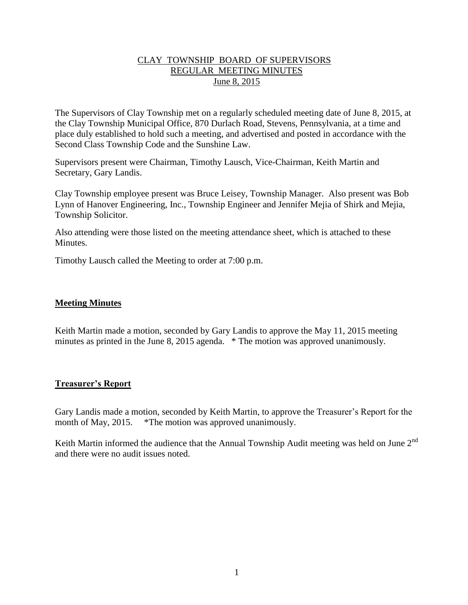## CLAY TOWNSHIP BOARD OF SUPERVISORS REGULAR MEETING MINUTES June 8, 2015

The Supervisors of Clay Township met on a regularly scheduled meeting date of June 8, 2015, at the Clay Township Municipal Office, 870 Durlach Road, Stevens, Pennsylvania, at a time and place duly established to hold such a meeting, and advertised and posted in accordance with the Second Class Township Code and the Sunshine Law.

Supervisors present were Chairman, Timothy Lausch, Vice-Chairman, Keith Martin and Secretary, Gary Landis.

Clay Township employee present was Bruce Leisey, Township Manager. Also present was Bob Lynn of Hanover Engineering, Inc., Township Engineer and Jennifer Mejia of Shirk and Mejia, Township Solicitor.

Also attending were those listed on the meeting attendance sheet, which is attached to these **Minutes** 

Timothy Lausch called the Meeting to order at 7:00 p.m.

### **Meeting Minutes**

Keith Martin made a motion, seconded by Gary Landis to approve the May 11, 2015 meeting minutes as printed in the June 8, 2015 agenda. \* The motion was approved unanimously.

### **Treasurer's Report**

Gary Landis made a motion, seconded by Keith Martin, to approve the Treasurer's Report for the month of May, 2015. \*The motion was approved unanimously.

Keith Martin informed the audience that the Annual Township Audit meeting was held on June  $2<sup>nd</sup>$ and there were no audit issues noted.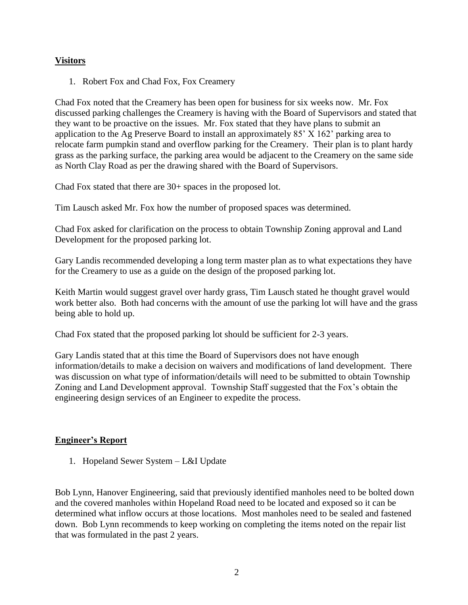# **Visitors**

1. Robert Fox and Chad Fox, Fox Creamery

Chad Fox noted that the Creamery has been open for business for six weeks now. Mr. Fox discussed parking challenges the Creamery is having with the Board of Supervisors and stated that they want to be proactive on the issues. Mr. Fox stated that they have plans to submit an application to the Ag Preserve Board to install an approximately 85' X 162' parking area to relocate farm pumpkin stand and overflow parking for the Creamery. Their plan is to plant hardy grass as the parking surface, the parking area would be adjacent to the Creamery on the same side as North Clay Road as per the drawing shared with the Board of Supervisors.

Chad Fox stated that there are 30+ spaces in the proposed lot.

Tim Lausch asked Mr. Fox how the number of proposed spaces was determined.

Chad Fox asked for clarification on the process to obtain Township Zoning approval and Land Development for the proposed parking lot.

Gary Landis recommended developing a long term master plan as to what expectations they have for the Creamery to use as a guide on the design of the proposed parking lot.

Keith Martin would suggest gravel over hardy grass, Tim Lausch stated he thought gravel would work better also. Both had concerns with the amount of use the parking lot will have and the grass being able to hold up.

Chad Fox stated that the proposed parking lot should be sufficient for 2-3 years.

Gary Landis stated that at this time the Board of Supervisors does not have enough information/details to make a decision on waivers and modifications of land development. There was discussion on what type of information/details will need to be submitted to obtain Township Zoning and Land Development approval. Township Staff suggested that the Fox's obtain the engineering design services of an Engineer to expedite the process.

# **Engineer's Report**

1. Hopeland Sewer System – L&I Update

Bob Lynn, Hanover Engineering, said that previously identified manholes need to be bolted down and the covered manholes within Hopeland Road need to be located and exposed so it can be determined what inflow occurs at those locations. Most manholes need to be sealed and fastened down. Bob Lynn recommends to keep working on completing the items noted on the repair list that was formulated in the past 2 years.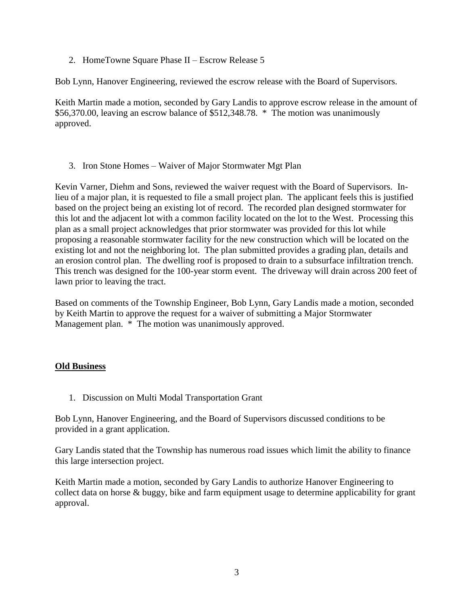2. HomeTowne Square Phase II – Escrow Release 5

Bob Lynn, Hanover Engineering, reviewed the escrow release with the Board of Supervisors.

Keith Martin made a motion, seconded by Gary Landis to approve escrow release in the amount of \$56,370.00, leaving an escrow balance of \$512,348.78. \* The motion was unanimously approved.

3. Iron Stone Homes – Waiver of Major Stormwater Mgt Plan

Kevin Varner, Diehm and Sons, reviewed the waiver request with the Board of Supervisors. Inlieu of a major plan, it is requested to file a small project plan. The applicant feels this is justified based on the project being an existing lot of record. The recorded plan designed stormwater for this lot and the adjacent lot with a common facility located on the lot to the West. Processing this plan as a small project acknowledges that prior stormwater was provided for this lot while proposing a reasonable stormwater facility for the new construction which will be located on the existing lot and not the neighboring lot. The plan submitted provides a grading plan, details and an erosion control plan. The dwelling roof is proposed to drain to a subsurface infiltration trench. This trench was designed for the 100-year storm event. The driveway will drain across 200 feet of lawn prior to leaving the tract.

Based on comments of the Township Engineer, Bob Lynn, Gary Landis made a motion, seconded by Keith Martin to approve the request for a waiver of submitting a Major Stormwater Management plan. \* The motion was unanimously approved.

# **Old Business**

1. Discussion on Multi Modal Transportation Grant

Bob Lynn, Hanover Engineering, and the Board of Supervisors discussed conditions to be provided in a grant application.

Gary Landis stated that the Township has numerous road issues which limit the ability to finance this large intersection project.

Keith Martin made a motion, seconded by Gary Landis to authorize Hanover Engineering to collect data on horse & buggy, bike and farm equipment usage to determine applicability for grant approval.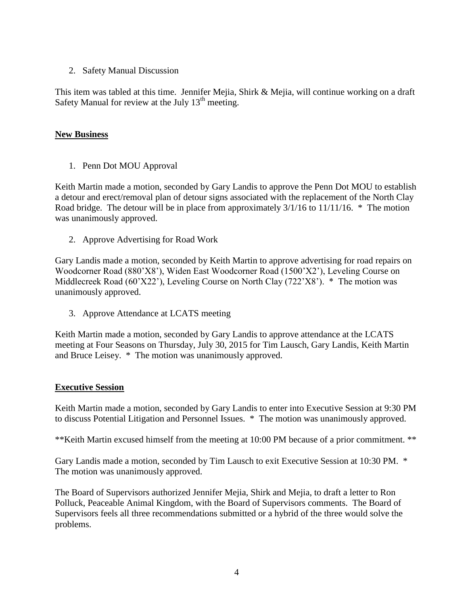2. Safety Manual Discussion

This item was tabled at this time. Jennifer Mejia, Shirk & Mejia, will continue working on a draft Safety Manual for review at the July  $13<sup>th</sup>$  meeting.

## **New Business**

1. Penn Dot MOU Approval

Keith Martin made a motion, seconded by Gary Landis to approve the Penn Dot MOU to establish a detour and erect/removal plan of detour signs associated with the replacement of the North Clay Road bridge. The detour will be in place from approximately 3/1/16 to 11/11/16. \* The motion was unanimously approved.

2. Approve Advertising for Road Work

Gary Landis made a motion, seconded by Keith Martin to approve advertising for road repairs on Woodcorner Road (880'X8'), Widen East Woodcorner Road (1500'X2'), Leveling Course on Middlecreek Road (60'X22'), Leveling Course on North Clay (722'X8'). \* The motion was unanimously approved.

3. Approve Attendance at LCATS meeting

Keith Martin made a motion, seconded by Gary Landis to approve attendance at the LCATS meeting at Four Seasons on Thursday, July 30, 2015 for Tim Lausch, Gary Landis, Keith Martin and Bruce Leisey. \* The motion was unanimously approved.

### **Executive Session**

Keith Martin made a motion, seconded by Gary Landis to enter into Executive Session at 9:30 PM to discuss Potential Litigation and Personnel Issues. \* The motion was unanimously approved.

\*\*Keith Martin excused himself from the meeting at 10:00 PM because of a prior commitment. \*\*

Gary Landis made a motion, seconded by Tim Lausch to exit Executive Session at 10:30 PM. \* The motion was unanimously approved.

The Board of Supervisors authorized Jennifer Mejia, Shirk and Mejia, to draft a letter to Ron Polluck, Peaceable Animal Kingdom, with the Board of Supervisors comments. The Board of Supervisors feels all three recommendations submitted or a hybrid of the three would solve the problems.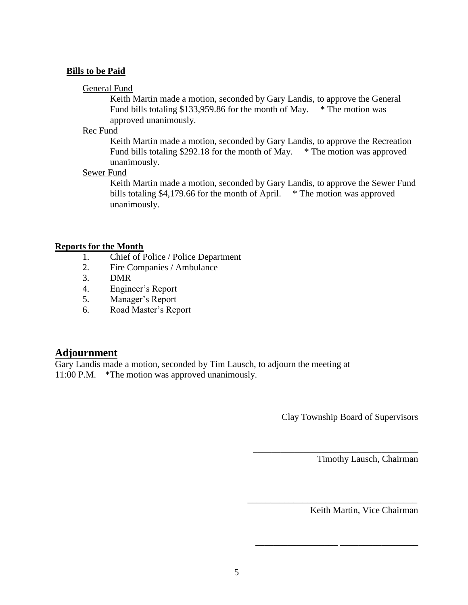#### **Bills to be Paid**

#### General Fund

Keith Martin made a motion, seconded by Gary Landis, to approve the General Fund bills totaling \$133,959.86 for the month of May.  $*$  The motion was approved unanimously.

#### Rec Fund

Keith Martin made a motion, seconded by Gary Landis, to approve the Recreation Fund bills totaling \$292.18 for the month of May. \* The motion was approved unanimously.

### Sewer Fund

Keith Martin made a motion, seconded by Gary Landis, to approve the Sewer Fund bills totaling \$4,179.66 for the month of April.  $*$  The motion was approved unanimously.

#### **Reports for the Month**

- 1. Chief of Police / Police Department
- 2. Fire Companies / Ambulance
- 3. DMR
- 4. Engineer's Report
- 5. Manager's Report
- 6. Road Master's Report

# **Adjournment**

Gary Landis made a motion, seconded by Tim Lausch, to adjourn the meeting at 11:00 P.M. \*The motion was approved unanimously.

Clay Township Board of Supervisors

\_\_\_\_\_\_\_\_\_\_\_\_\_\_\_\_\_\_\_\_\_\_\_\_\_\_\_\_\_\_\_\_\_\_\_\_

\_\_\_\_\_\_\_\_\_\_\_\_\_\_\_\_\_\_\_\_\_\_\_\_\_\_\_\_\_\_\_\_\_\_\_\_\_

\_\_\_\_\_\_\_\_\_\_\_\_\_\_\_\_\_\_ \_\_\_\_\_\_\_\_\_\_\_\_\_\_\_\_\_

Timothy Lausch, Chairman

Keith Martin, Vice Chairman